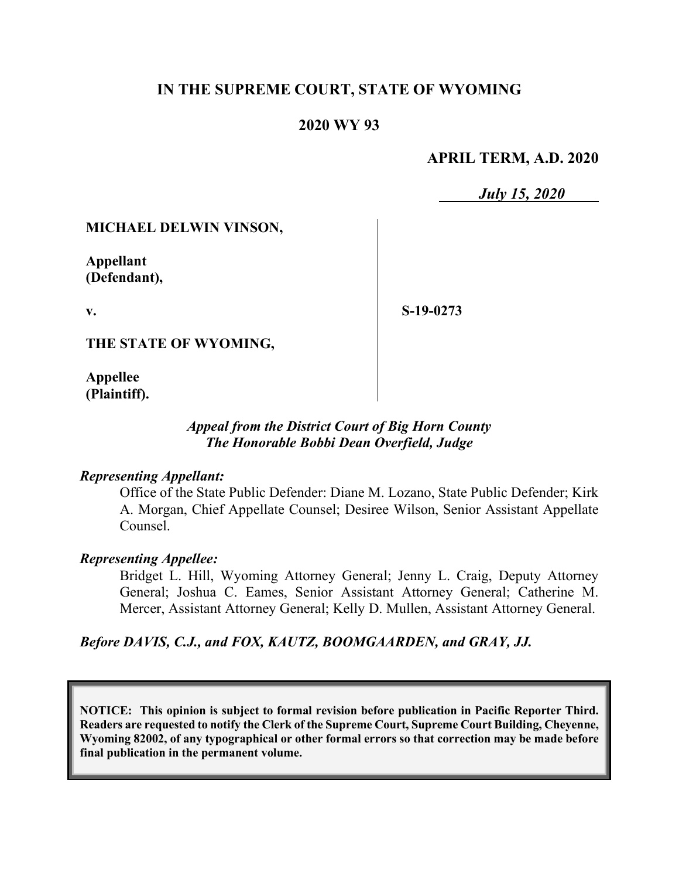# **IN THE SUPREME COURT, STATE OF WYOMING**

# **2020 WY 93**

## **APRIL TERM, A.D. 2020**

*July 15, 2020*

## **MICHAEL DELWIN VINSON,**

**Appellant (Defendant),**

**v.**

**S-19-0273**

**THE STATE OF WYOMING,**

**Appellee (Plaintiff).**

# *Appeal from the District Court of Big Horn County The Honorable Bobbi Dean Overfield, Judge*

#### *Representing Appellant:*

Office of the State Public Defender: Diane M. Lozano, State Public Defender; Kirk A. Morgan, Chief Appellate Counsel; Desiree Wilson, Senior Assistant Appellate Counsel.

## *Representing Appellee:*

Bridget L. Hill, Wyoming Attorney General; Jenny L. Craig, Deputy Attorney General; Joshua C. Eames, Senior Assistant Attorney General; Catherine M. Mercer, Assistant Attorney General; Kelly D. Mullen, Assistant Attorney General.

*Before DAVIS, C.J., and FOX, KAUTZ, BOOMGAARDEN, and GRAY, JJ.*

**NOTICE: This opinion is subject to formal revision before publication in Pacific Reporter Third. Readers are requested to notify the Clerk of the Supreme Court, Supreme Court Building, Cheyenne, Wyoming 82002, of any typographical or other formal errors so that correction may be made before final publication in the permanent volume.**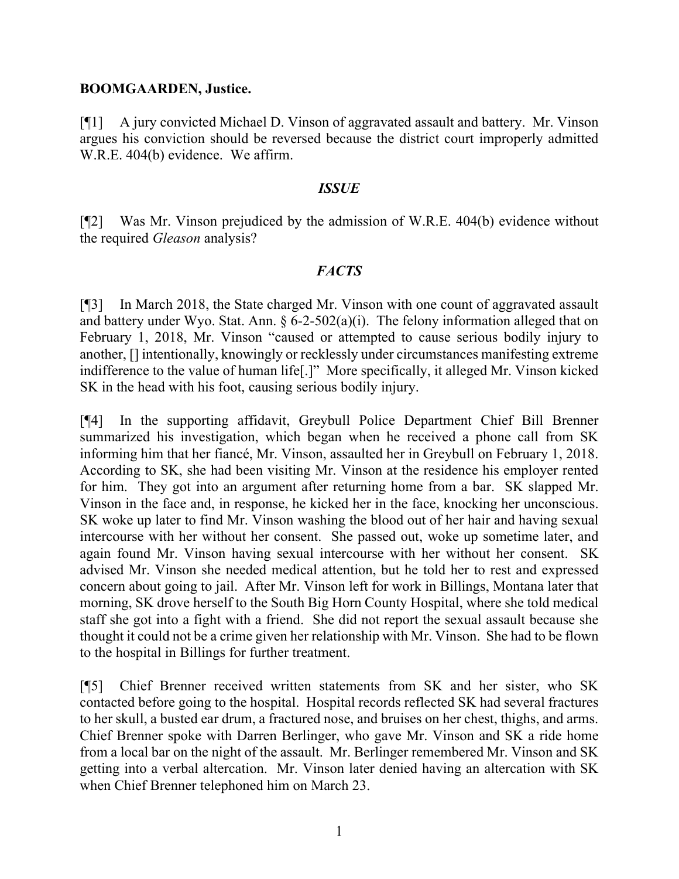#### **BOOMGAARDEN, Justice.**

[¶1] A jury convicted Michael D. Vinson of aggravated assault and battery. Mr. Vinson argues his conviction should be reversed because the district court improperly admitted W.R.E. 404(b) evidence. We affirm.

#### *ISSUE*

[¶2] Was Mr. Vinson prejudiced by the admission of W.R.E. 404(b) evidence without the required *Gleason* analysis?

## *FACTS*

[¶3] In March 2018, the State charged Mr. Vinson with one count of aggravated assault and battery under Wyo. Stat. Ann.  $\S 6$ -2-502(a)(i). The felony information alleged that on February 1, 2018, Mr. Vinson "caused or attempted to cause serious bodily injury to another, [] intentionally, knowingly or recklessly under circumstances manifesting extreme indifference to the value of human life[.]" More specifically, it alleged Mr. Vinson kicked SK in the head with his foot, causing serious bodily injury.

[¶4] In the supporting affidavit, Greybull Police Department Chief Bill Brenner summarized his investigation, which began when he received a phone call from SK informing him that her fiancé, Mr. Vinson, assaulted her in Greybull on February 1, 2018. According to SK, she had been visiting Mr. Vinson at the residence his employer rented for him. They got into an argument after returning home from a bar. SK slapped Mr. Vinson in the face and, in response, he kicked her in the face, knocking her unconscious. SK woke up later to find Mr. Vinson washing the blood out of her hair and having sexual intercourse with her without her consent. She passed out, woke up sometime later, and again found Mr. Vinson having sexual intercourse with her without her consent. SK advised Mr. Vinson she needed medical attention, but he told her to rest and expressed concern about going to jail. After Mr. Vinson left for work in Billings, Montana later that morning, SK drove herself to the South Big Horn County Hospital, where she told medical staff she got into a fight with a friend. She did not report the sexual assault because she thought it could not be a crime given her relationship with Mr. Vinson. She had to be flown to the hospital in Billings for further treatment.

[¶5] Chief Brenner received written statements from SK and her sister, who SK contacted before going to the hospital. Hospital records reflected SK had several fractures to her skull, a busted ear drum, a fractured nose, and bruises on her chest, thighs, and arms. Chief Brenner spoke with Darren Berlinger, who gave Mr. Vinson and SK a ride home from a local bar on the night of the assault. Mr. Berlinger remembered Mr. Vinson and SK getting into a verbal altercation. Mr. Vinson later denied having an altercation with SK when Chief Brenner telephoned him on March 23.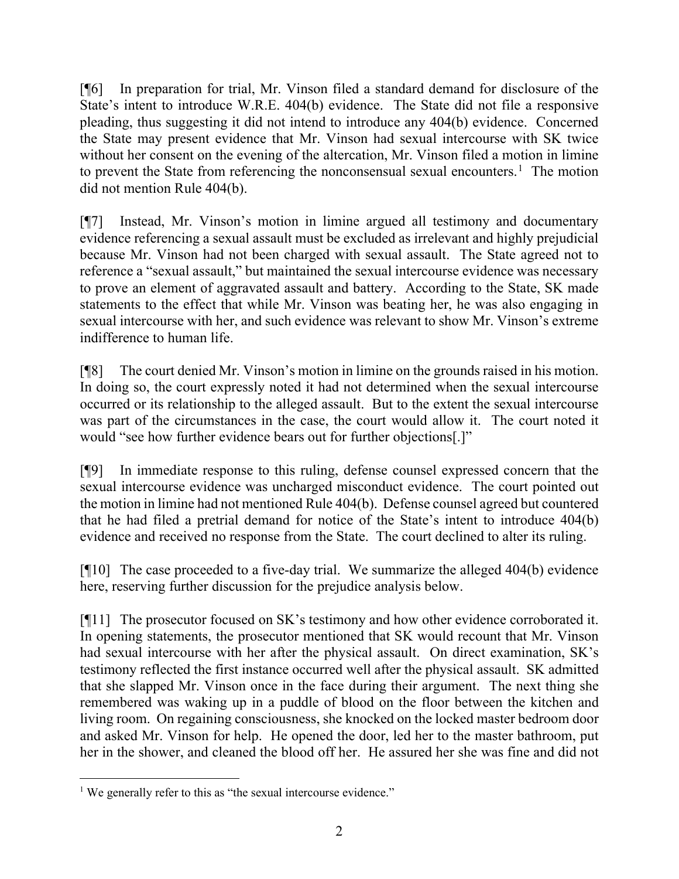[¶6] In preparation for trial, Mr. Vinson filed a standard demand for disclosure of the State's intent to introduce W.R.E. 404(b) evidence. The State did not file a responsive pleading, thus suggesting it did not intend to introduce any 404(b) evidence. Concerned the State may present evidence that Mr. Vinson had sexual intercourse with SK twice without her consent on the evening of the altercation, Mr. Vinson filed a motion in limine to prevent the State from referencing the nonconsensual sexual encounters.<sup>[1](#page-2-0)</sup> The motion did not mention Rule 404(b).

[¶7] Instead, Mr. Vinson's motion in limine argued all testimony and documentary evidence referencing a sexual assault must be excluded as irrelevant and highly prejudicial because Mr. Vinson had not been charged with sexual assault. The State agreed not to reference a "sexual assault," but maintained the sexual intercourse evidence was necessary to prove an element of aggravated assault and battery. According to the State, SK made statements to the effect that while Mr. Vinson was beating her, he was also engaging in sexual intercourse with her, and such evidence was relevant to show Mr. Vinson's extreme indifference to human life.

[¶8] The court denied Mr. Vinson's motion in limine on the grounds raised in his motion. In doing so, the court expressly noted it had not determined when the sexual intercourse occurred or its relationship to the alleged assault. But to the extent the sexual intercourse was part of the circumstances in the case, the court would allow it. The court noted it would "see how further evidence bears out for further objections[.]"

[¶9] In immediate response to this ruling, defense counsel expressed concern that the sexual intercourse evidence was uncharged misconduct evidence. The court pointed out the motion in limine had not mentioned Rule 404(b). Defense counsel agreed but countered that he had filed a pretrial demand for notice of the State's intent to introduce 404(b) evidence and received no response from the State. The court declined to alter its ruling.

[¶10] The case proceeded to a five-day trial. We summarize the alleged 404(b) evidence here, reserving further discussion for the prejudice analysis below.

[¶11] The prosecutor focused on SK's testimony and how other evidence corroborated it. In opening statements, the prosecutor mentioned that SK would recount that Mr. Vinson had sexual intercourse with her after the physical assault. On direct examination, SK's testimony reflected the first instance occurred well after the physical assault. SK admitted that she slapped Mr. Vinson once in the face during their argument. The next thing she remembered was waking up in a puddle of blood on the floor between the kitchen and living room. On regaining consciousness, she knocked on the locked master bedroom door and asked Mr. Vinson for help. He opened the door, led her to the master bathroom, put her in the shower, and cleaned the blood off her. He assured her she was fine and did not

<span id="page-2-0"></span><sup>&</sup>lt;sup>1</sup> We generally refer to this as "the sexual intercourse evidence."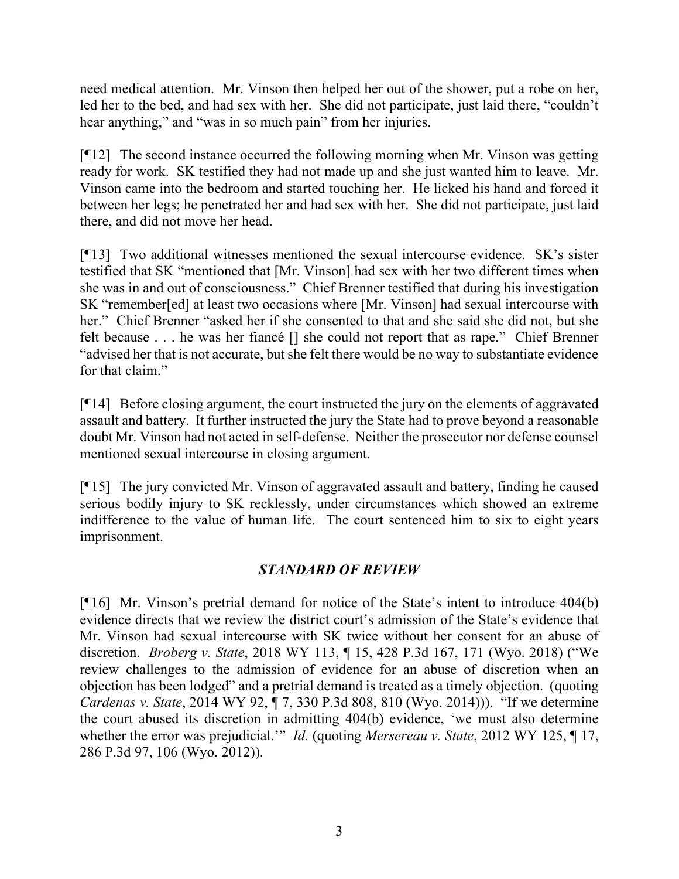need medical attention. Mr. Vinson then helped her out of the shower, put a robe on her, led her to the bed, and had sex with her. She did not participate, just laid there, "couldn't hear anything," and "was in so much pain" from her injuries.

[¶12] The second instance occurred the following morning when Mr. Vinson was getting ready for work. SK testified they had not made up and she just wanted him to leave. Mr. Vinson came into the bedroom and started touching her. He licked his hand and forced it between her legs; he penetrated her and had sex with her. She did not participate, just laid there, and did not move her head.

[¶13] Two additional witnesses mentioned the sexual intercourse evidence. SK's sister testified that SK "mentioned that [Mr. Vinson] had sex with her two different times when she was in and out of consciousness." Chief Brenner testified that during his investigation SK "remember[ed] at least two occasions where [Mr. Vinson] had sexual intercourse with her." Chief Brenner "asked her if she consented to that and she said she did not, but she felt because . . . he was her fiancé [] she could not report that as rape." Chief Brenner "advised her that is not accurate, but she felt there would be no way to substantiate evidence for that claim."

[¶14] Before closing argument, the court instructed the jury on the elements of aggravated assault and battery. It further instructed the jury the State had to prove beyond a reasonable doubt Mr. Vinson had not acted in self-defense. Neither the prosecutor nor defense counsel mentioned sexual intercourse in closing argument.

[¶15] The jury convicted Mr. Vinson of aggravated assault and battery, finding he caused serious bodily injury to SK recklessly, under circumstances which showed an extreme indifference to the value of human life. The court sentenced him to six to eight years imprisonment.

# *STANDARD OF REVIEW*

[¶16] Mr. Vinson's pretrial demand for notice of the State's intent to introduce 404(b) evidence directs that we review the district court's admission of the State's evidence that Mr. Vinson had sexual intercourse with SK twice without her consent for an abuse of discretion. *Broberg v. State*, 2018 WY 113, ¶ 15, 428 P.3d 167, 171 (Wyo. 2018) ("We review challenges to the admission of evidence for an abuse of discretion when an objection has been lodged" and a pretrial demand is treated as a timely objection. (quoting *Cardenas v. State*, 2014 WY 92, ¶ 7, 330 P.3d 808, 810 (Wyo. 2014))). "If we determine the court abused its discretion in admitting 404(b) evidence, 'we must also determine whether the error was prejudicial.'" *Id.* (quoting *Mersereau v. State*, 2012 WY 125, ¶ 17, 286 P.3d 97, 106 (Wyo. 2012)).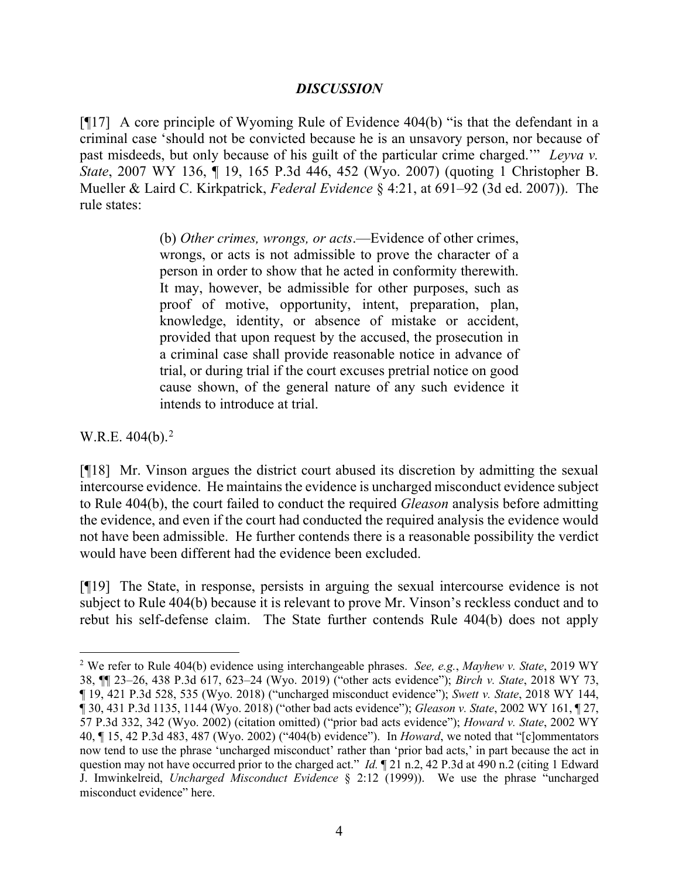## *DISCUSSION*

[¶17] A core principle of Wyoming Rule of Evidence 404(b) "is that the defendant in a criminal case 'should not be convicted because he is an unsavory person, nor because of past misdeeds, but only because of his guilt of the particular crime charged.'" *Leyva v. State*, 2007 WY 136, ¶ 19, 165 P.3d 446, 452 (Wyo. 2007) (quoting 1 Christopher B. Mueller & Laird C. Kirkpatrick, *Federal Evidence* § 4:21, at 691–92 (3d ed. 2007)). The rule states:

> (b) *Other crimes, wrongs, or acts*.—Evidence of other crimes, wrongs, or acts is not admissible to prove the character of a person in order to show that he acted in conformity therewith. It may, however, be admissible for other purposes, such as proof of motive, opportunity, intent, preparation, plan, knowledge, identity, or absence of mistake or accident, provided that upon request by the accused, the prosecution in a criminal case shall provide reasonable notice in advance of trial, or during trial if the court excuses pretrial notice on good cause shown, of the general nature of any such evidence it intends to introduce at trial.

W.R.E.  $404(b)$ .<sup>[2](#page-4-0)</sup>

[¶18] Mr. Vinson argues the district court abused its discretion by admitting the sexual intercourse evidence. He maintains the evidence is uncharged misconduct evidence subject to Rule 404(b), the court failed to conduct the required *Gleason* analysis before admitting the evidence, and even if the court had conducted the required analysis the evidence would not have been admissible. He further contends there is a reasonable possibility the verdict would have been different had the evidence been excluded.

[¶19] The State, in response, persists in arguing the sexual intercourse evidence is not subject to Rule 404(b) because it is relevant to prove Mr. Vinson's reckless conduct and to rebut his self-defense claim. The State further contends Rule 404(b) does not apply

<span id="page-4-0"></span><sup>2</sup> We refer to Rule 404(b) evidence using interchangeable phrases. *See, e.g.*, *Mayhew v. State*, 2019 WY 38, ¶¶ 23–26, 438 P.3d 617, 623–24 (Wyo. 2019) ("other acts evidence"); *Birch v. State*, 2018 WY 73, ¶ 19, 421 P.3d 528, 535 (Wyo. 2018) ("uncharged misconduct evidence"); *Swett v. State*, 2018 WY 144, ¶ 30, 431 P.3d 1135, 1144 (Wyo. 2018) ("other bad acts evidence"); *Gleason v. State*, 2002 WY 161, ¶ 27, 57 P.3d 332, 342 (Wyo. 2002) (citation omitted) ("prior bad acts evidence"); *Howard v. State*, 2002 WY 40, ¶ 15, 42 P.3d 483, 487 (Wyo. 2002) ("404(b) evidence"). In *Howard*, we noted that "[c]ommentators now tend to use the phrase 'uncharged misconduct' rather than 'prior bad acts,' in part because the act in question may not have occurred prior to the charged act." *Id.* 1 21 n.2, 42 P.3d at 490 n.2 (citing 1 Edward J. Imwinkelreid, *Uncharged Misconduct Evidence* § 2:12 (1999)). We use the phrase "uncharged misconduct evidence" here.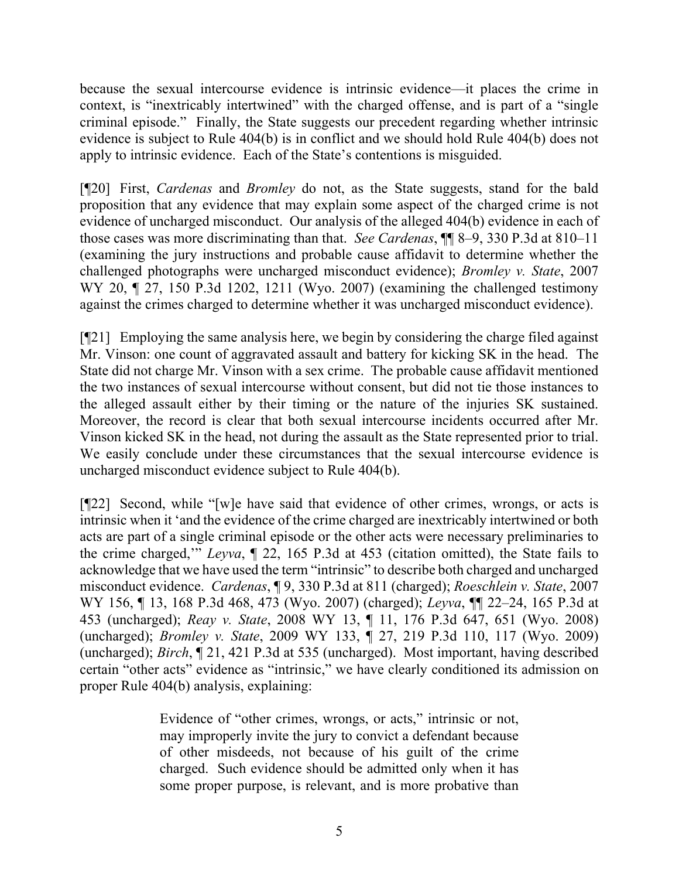because the sexual intercourse evidence is intrinsic evidence—it places the crime in context, is "inextricably intertwined" with the charged offense, and is part of a "single criminal episode." Finally, the State suggests our precedent regarding whether intrinsic evidence is subject to Rule 404(b) is in conflict and we should hold Rule 404(b) does not apply to intrinsic evidence. Each of the State's contentions is misguided.

[¶20] First, *Cardenas* and *Bromley* do not, as the State suggests, stand for the bald proposition that any evidence that may explain some aspect of the charged crime is not evidence of uncharged misconduct. Our analysis of the alleged 404(b) evidence in each of those cases was more discriminating than that. *See Cardenas*, ¶¶ 8–9, 330 P.3d at 810–11 (examining the jury instructions and probable cause affidavit to determine whether the challenged photographs were uncharged misconduct evidence); *Bromley v. State*, 2007 WY 20, 127, 150 P.3d 1202, 1211 (Wyo. 2007) (examining the challenged testimony against the crimes charged to determine whether it was uncharged misconduct evidence).

[¶21] Employing the same analysis here, we begin by considering the charge filed against Mr. Vinson: one count of aggravated assault and battery for kicking SK in the head. The State did not charge Mr. Vinson with a sex crime. The probable cause affidavit mentioned the two instances of sexual intercourse without consent, but did not tie those instances to the alleged assault either by their timing or the nature of the injuries SK sustained. Moreover, the record is clear that both sexual intercourse incidents occurred after Mr. Vinson kicked SK in the head, not during the assault as the State represented prior to trial. We easily conclude under these circumstances that the sexual intercourse evidence is uncharged misconduct evidence subject to Rule 404(b).

[¶22] Second, while "[w]e have said that evidence of other crimes, wrongs, or acts is intrinsic when it 'and the evidence of the crime charged are inextricably intertwined or both acts are part of a single criminal episode or the other acts were necessary preliminaries to the crime charged,'" *Leyva*, ¶ 22, 165 P.3d at 453 (citation omitted), the State fails to acknowledge that we have used the term "intrinsic" to describe both charged and uncharged misconduct evidence. *Cardenas*, ¶ 9, 330 P.3d at 811 (charged); *Roeschlein v. State*, 2007 WY 156, ¶ 13, 168 P.3d 468, 473 (Wyo. 2007) (charged); *Leyva*, ¶¶ 22–24, 165 P.3d at 453 (uncharged); *Reay v. State*, 2008 WY 13, ¶ 11, 176 P.3d 647, 651 (Wyo. 2008) (uncharged); *Bromley v. State*, 2009 WY 133, ¶ 27, 219 P.3d 110, 117 (Wyo. 2009) (uncharged); *Birch*, ¶ 21, 421 P.3d at 535 (uncharged). Most important, having described certain "other acts" evidence as "intrinsic," we have clearly conditioned its admission on proper Rule 404(b) analysis, explaining:

> Evidence of "other crimes, wrongs, or acts," intrinsic or not, may improperly invite the jury to convict a defendant because of other misdeeds, not because of his guilt of the crime charged. Such evidence should be admitted only when it has some proper purpose, is relevant, and is more probative than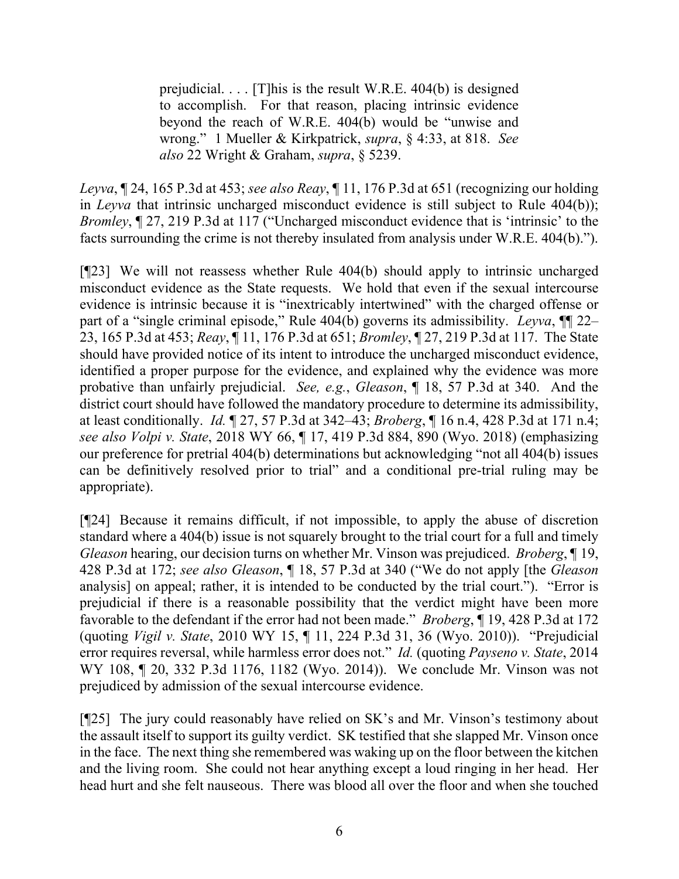prejudicial. . . . [T]his is the result W.R.E. 404(b) is designed to accomplish. For that reason, placing intrinsic evidence beyond the reach of W.R.E. 404(b) would be "unwise and wrong." 1 Mueller & Kirkpatrick, *supra*, § 4:33, at 818. *See also* 22 Wright & Graham, *supra*, § 5239.

*Leyva*, ¶ 24, 165 P.3d at 453; *see also Reay*, ¶ 11, 176 P.3d at 651 (recognizing our holding in *Leyva* that intrinsic uncharged misconduct evidence is still subject to Rule 404(b)); *Bromley*, ¶ 27, 219 P.3d at 117 ("Uncharged misconduct evidence that is 'intrinsic' to the facts surrounding the crime is not thereby insulated from analysis under W.R.E. 404(b).").

[¶23] We will not reassess whether Rule 404(b) should apply to intrinsic uncharged misconduct evidence as the State requests. We hold that even if the sexual intercourse evidence is intrinsic because it is "inextricably intertwined" with the charged offense or part of a "single criminal episode," Rule 404(b) governs its admissibility. *Leyva*, ¶¶ 22– 23, 165 P.3d at 453; *Reay*, ¶ 11, 176 P.3d at 651; *Bromley*, ¶ 27, 219 P.3d at 117. The State should have provided notice of its intent to introduce the uncharged misconduct evidence, identified a proper purpose for the evidence, and explained why the evidence was more probative than unfairly prejudicial. *See, e.g.*, *Gleason*, ¶ 18, 57 P.3d at 340. And the district court should have followed the mandatory procedure to determine its admissibility, at least conditionally. *Id.* ¶ 27, 57 P.3d at 342–43; *Broberg*, ¶ 16 n.4, 428 P.3d at 171 n.4; *see also Volpi v. State*, 2018 WY 66, ¶ 17, 419 P.3d 884, 890 (Wyo. 2018) (emphasizing our preference for pretrial 404(b) determinations but acknowledging "not all 404(b) issues can be definitively resolved prior to trial" and a conditional pre-trial ruling may be appropriate).

[¶24] Because it remains difficult, if not impossible, to apply the abuse of discretion standard where a 404(b) issue is not squarely brought to the trial court for a full and timely *Gleason* hearing, our decision turns on whether Mr. Vinson was prejudiced. *Broberg*, ¶ 19, 428 P.3d at 172; *see also Gleason*, ¶ 18, 57 P.3d at 340 ("We do not apply [the *Gleason* analysis] on appeal; rather, it is intended to be conducted by the trial court."). "Error is prejudicial if there is a reasonable possibility that the verdict might have been more favorable to the defendant if the error had not been made." *Broberg*, ¶ 19, 428 P.3d at 172 (quoting *Vigil v. State*, 2010 WY 15, ¶ 11, 224 P.3d 31, 36 (Wyo. 2010)). "Prejudicial error requires reversal, while harmless error does not." *Id.* (quoting *Payseno v. State*, 2014 WY 108, ¶ 20, 332 P.3d 1176, 1182 (Wyo. 2014)). We conclude Mr. Vinson was not prejudiced by admission of the sexual intercourse evidence.

[¶25] The jury could reasonably have relied on SK's and Mr. Vinson's testimony about the assault itself to support its guilty verdict. SK testified that she slapped Mr. Vinson once in the face. The next thing she remembered was waking up on the floor between the kitchen and the living room. She could not hear anything except a loud ringing in her head. Her head hurt and she felt nauseous. There was blood all over the floor and when she touched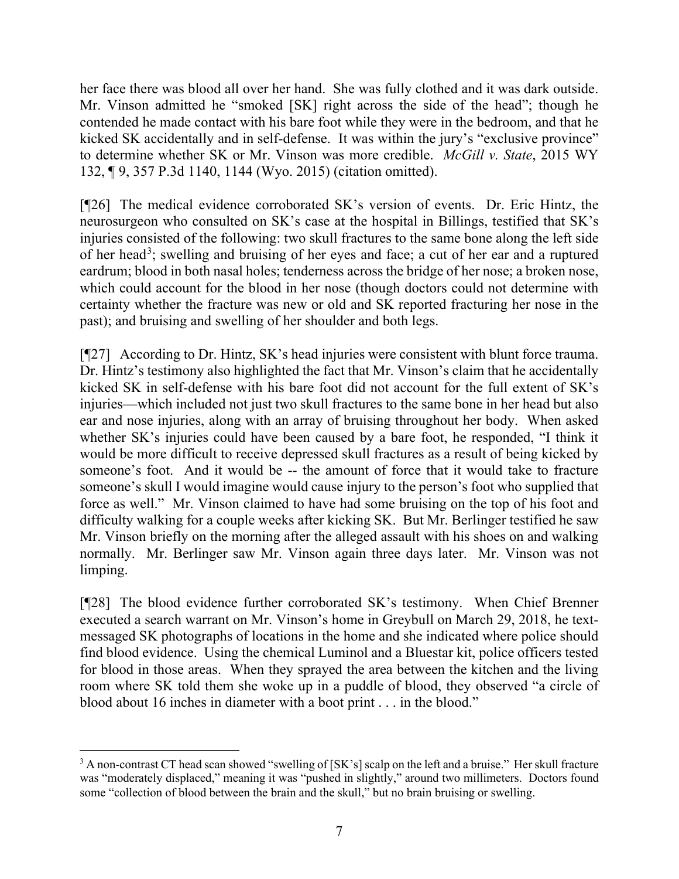her face there was blood all over her hand. She was fully clothed and it was dark outside. Mr. Vinson admitted he "smoked [SK] right across the side of the head"; though he contended he made contact with his bare foot while they were in the bedroom, and that he kicked SK accidentally and in self-defense. It was within the jury's "exclusive province" to determine whether SK or Mr. Vinson was more credible. *McGill v. State*, 2015 WY 132, ¶ 9, 357 P.3d 1140, 1144 (Wyo. 2015) (citation omitted).

[¶26] The medical evidence corroborated SK's version of events. Dr. Eric Hintz, the neurosurgeon who consulted on SK's case at the hospital in Billings, testified that SK's injuries consisted of the following: two skull fractures to the same bone along the left side of her head<sup>[3](#page-7-0)</sup>; swelling and bruising of her eyes and face; a cut of her ear and a ruptured eardrum; blood in both nasal holes; tenderness across the bridge of her nose; a broken nose, which could account for the blood in her nose (though doctors could not determine with certainty whether the fracture was new or old and SK reported fracturing her nose in the past); and bruising and swelling of her shoulder and both legs.

[¶27] According to Dr. Hintz, SK's head injuries were consistent with blunt force trauma. Dr. Hintz's testimony also highlighted the fact that Mr. Vinson's claim that he accidentally kicked SK in self-defense with his bare foot did not account for the full extent of SK's injuries—which included not just two skull fractures to the same bone in her head but also ear and nose injuries, along with an array of bruising throughout her body. When asked whether SK's injuries could have been caused by a bare foot, he responded, "I think it would be more difficult to receive depressed skull fractures as a result of being kicked by someone's foot. And it would be -- the amount of force that it would take to fracture someone's skull I would imagine would cause injury to the person's foot who supplied that force as well." Mr. Vinson claimed to have had some bruising on the top of his foot and difficulty walking for a couple weeks after kicking SK. But Mr. Berlinger testified he saw Mr. Vinson briefly on the morning after the alleged assault with his shoes on and walking normally. Mr. Berlinger saw Mr. Vinson again three days later. Mr. Vinson was not limping.

[¶28] The blood evidence further corroborated SK's testimony. When Chief Brenner executed a search warrant on Mr. Vinson's home in Greybull on March 29, 2018, he textmessaged SK photographs of locations in the home and she indicated where police should find blood evidence. Using the chemical Luminol and a Bluestar kit, police officers tested for blood in those areas. When they sprayed the area between the kitchen and the living room where SK told them she woke up in a puddle of blood, they observed "a circle of blood about 16 inches in diameter with a boot print . . . in the blood."

<span id="page-7-0"></span><sup>&</sup>lt;sup>3</sup> A non-contrast CT head scan showed "swelling of [SK's] scalp on the left and a bruise." Her skull fracture was "moderately displaced," meaning it was "pushed in slightly," around two millimeters. Doctors found some "collection of blood between the brain and the skull," but no brain bruising or swelling.